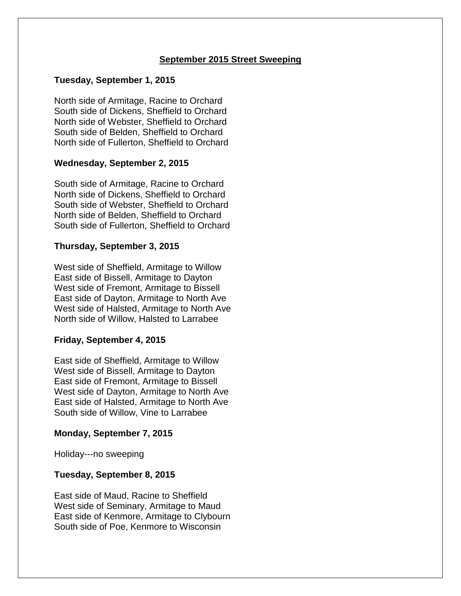# **September 2015 Street Sweeping**

## **Tuesday, September 1, 2015**

North side of Armitage, Racine to Orchard South side of Dickens, Sheffield to Orchard North side of Webster, Sheffield to Orchard South side of Belden, Sheffield to Orchard North side of Fullerton, Sheffield to Orchard

### **Wednesday, September 2, 2015**

South side of Armitage, Racine to Orchard North side of Dickens, Sheffield to Orchard South side of Webster, Sheffield to Orchard North side of Belden, Sheffield to Orchard South side of Fullerton, Sheffield to Orchard

### **Thursday, September 3, 2015**

West side of Sheffield, Armitage to Willow East side of Bissell, Armitage to Dayton West side of Fremont, Armitage to Bissell East side of Dayton, Armitage to North Ave West side of Halsted, Armitage to North Ave North side of Willow, Halsted to Larrabee

### **Friday, September 4, 2015**

East side of Sheffield, Armitage to Willow West side of Bissell, Armitage to Dayton East side of Fremont, Armitage to Bissell West side of Dayton, Armitage to North Ave East side of Halsted, Armitage to North Ave South side of Willow, Vine to Larrabee

### **Monday, September 7, 2015**

Holiday---no sweeping

### **Tuesday, September 8, 2015**

East side of Maud, Racine to Sheffield West side of Seminary, Armitage to Maud East side of Kenmore, Armitage to Clybourn South side of Poe, Kenmore to Wisconsin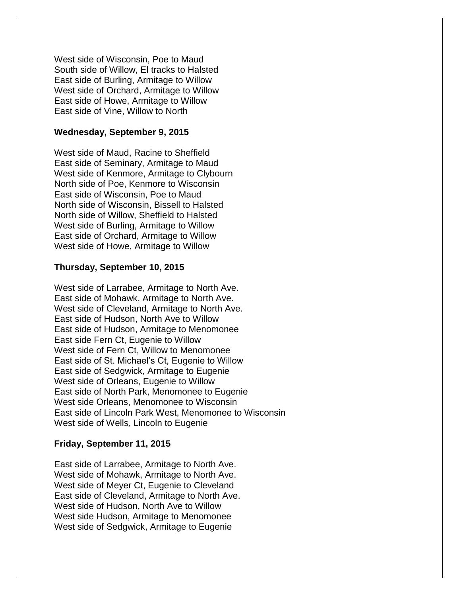West side of Wisconsin, Poe to Maud South side of Willow, El tracks to Halsted East side of Burling, Armitage to Willow West side of Orchard, Armitage to Willow East side of Howe, Armitage to Willow East side of Vine, Willow to North

#### **Wednesday, September 9, 2015**

West side of Maud, Racine to Sheffield East side of Seminary, Armitage to Maud West side of Kenmore, Armitage to Clybourn North side of Poe, Kenmore to Wisconsin East side of Wisconsin, Poe to Maud North side of Wisconsin, Bissell to Halsted North side of Willow, Sheffield to Halsted West side of Burling, Armitage to Willow East side of Orchard, Armitage to Willow West side of Howe, Armitage to Willow

#### **Thursday, September 10, 2015**

West side of Larrabee, Armitage to North Ave. East side of Mohawk, Armitage to North Ave. West side of Cleveland, Armitage to North Ave. East side of Hudson, North Ave to Willow East side of Hudson, Armitage to Menomonee East side Fern Ct, Eugenie to Willow West side of Fern Ct, Willow to Menomonee East side of St. Michael's Ct, Eugenie to Willow East side of Sedgwick, Armitage to Eugenie West side of Orleans, Eugenie to Willow East side of North Park, Menomonee to Eugenie West side Orleans, Menomonee to Wisconsin East side of Lincoln Park West, Menomonee to Wisconsin West side of Wells, Lincoln to Eugenie

#### **Friday, September 11, 2015**

East side of Larrabee, Armitage to North Ave. West side of Mohawk, Armitage to North Ave. West side of Meyer Ct, Eugenie to Cleveland East side of Cleveland, Armitage to North Ave. West side of Hudson, North Ave to Willow West side Hudson, Armitage to Menomonee West side of Sedgwick, Armitage to Eugenie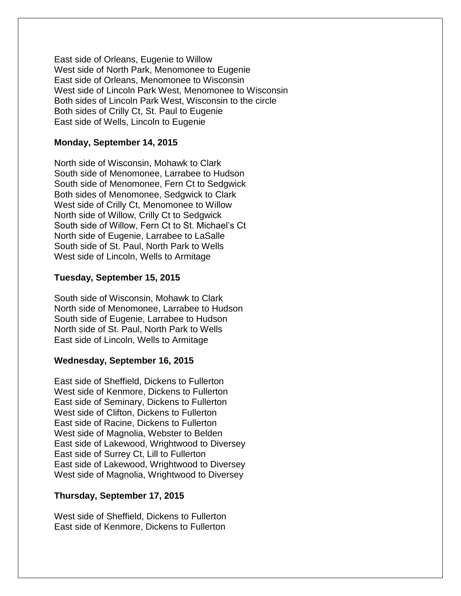East side of Orleans, Eugenie to Willow West side of North Park, Menomonee to Eugenie East side of Orleans, Menomonee to Wisconsin West side of Lincoln Park West, Menomonee to Wisconsin Both sides of Lincoln Park West, Wisconsin to the circle Both sides of Crilly Ct, St. Paul to Eugenie East side of Wells, Lincoln to Eugenie

### **Monday, September 14, 2015**

North side of Wisconsin, Mohawk to Clark South side of Menomonee, Larrabee to Hudson South side of Menomonee, Fern Ct to Sedgwick Both sides of Menomonee, Sedgwick to Clark West side of Crilly Ct, Menomonee to Willow North side of Willow, Crilly Ct to Sedgwick South side of Willow, Fern Ct to St. Michael's Ct North side of Eugenie, Larrabee to LaSalle South side of St. Paul, North Park to Wells West side of Lincoln, Wells to Armitage

#### **Tuesday, September 15, 2015**

South side of Wisconsin, Mohawk to Clark North side of Menomonee, Larrabee to Hudson South side of Eugenie, Larrabee to Hudson North side of St. Paul, North Park to Wells East side of Lincoln, Wells to Armitage

## **Wednesday, September 16, 2015**

East side of Sheffield, Dickens to Fullerton West side of Kenmore, Dickens to Fullerton East side of Seminary, Dickens to Fullerton West side of Clifton, Dickens to Fullerton East side of Racine, Dickens to Fullerton West side of Magnolia, Webster to Belden East side of Lakewood, Wrightwood to Diversey East side of Surrey Ct, Lill to Fullerton East side of Lakewood, Wrightwood to Diversey West side of Magnolia, Wrightwood to Diversey

### **Thursday, September 17, 2015**

West side of Sheffield, Dickens to Fullerton East side of Kenmore, Dickens to Fullerton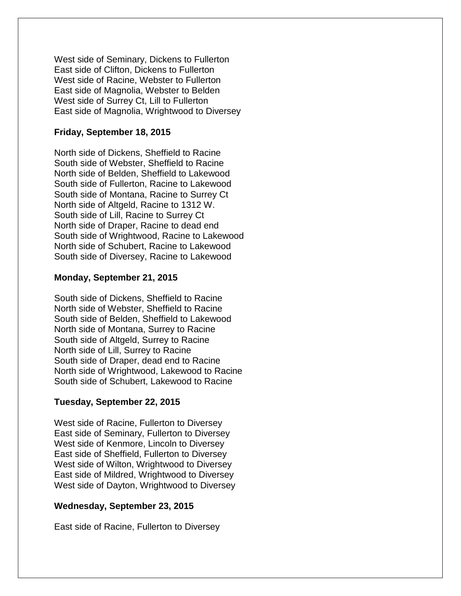West side of Seminary, Dickens to Fullerton East side of Clifton, Dickens to Fullerton West side of Racine, Webster to Fullerton East side of Magnolia, Webster to Belden West side of Surrey Ct, Lill to Fullerton East side of Magnolia, Wrightwood to Diversey

# **Friday, September 18, 2015**

North side of Dickens, Sheffield to Racine South side of Webster, Sheffield to Racine North side of Belden, Sheffield to Lakewood South side of Fullerton, Racine to Lakewood South side of Montana, Racine to Surrey Ct North side of Altgeld, Racine to 1312 W. South side of Lill, Racine to Surrey Ct North side of Draper, Racine to dead end South side of Wrightwood, Racine to Lakewood North side of Schubert, Racine to Lakewood South side of Diversey, Racine to Lakewood

# **Monday, September 21, 2015**

South side of Dickens, Sheffield to Racine North side of Webster, Sheffield to Racine South side of Belden, Sheffield to Lakewood North side of Montana, Surrey to Racine South side of Altgeld, Surrey to Racine North side of Lill, Surrey to Racine South side of Draper, dead end to Racine North side of Wrightwood, Lakewood to Racine South side of Schubert, Lakewood to Racine

# **Tuesday, September 22, 2015**

West side of Racine, Fullerton to Diversey East side of Seminary, Fullerton to Diversey West side of Kenmore, Lincoln to Diversey East side of Sheffield, Fullerton to Diversey West side of Wilton, Wrightwood to Diversey East side of Mildred, Wrightwood to Diversey West side of Dayton, Wrightwood to Diversey

### **Wednesday, September 23, 2015**

East side of Racine, Fullerton to Diversey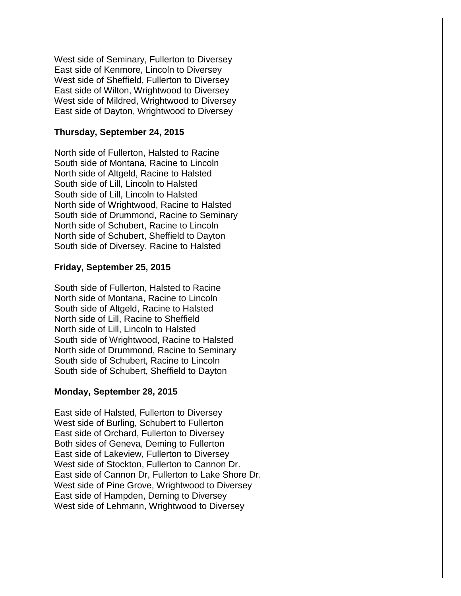West side of Seminary, Fullerton to Diversey East side of Kenmore, Lincoln to Diversey West side of Sheffield, Fullerton to Diversey East side of Wilton, Wrightwood to Diversey West side of Mildred, Wrightwood to Diversey East side of Dayton, Wrightwood to Diversey

# **Thursday, September 24, 2015**

North side of Fullerton, Halsted to Racine South side of Montana, Racine to Lincoln North side of Altgeld, Racine to Halsted South side of Lill, Lincoln to Halsted South side of Lill, Lincoln to Halsted North side of Wrightwood, Racine to Halsted South side of Drummond, Racine to Seminary North side of Schubert, Racine to Lincoln North side of Schubert, Sheffield to Dayton South side of Diversey, Racine to Halsted

# **Friday, September 25, 2015**

South side of Fullerton, Halsted to Racine North side of Montana, Racine to Lincoln South side of Altgeld, Racine to Halsted North side of Lill, Racine to Sheffield North side of Lill, Lincoln to Halsted South side of Wrightwood, Racine to Halsted North side of Drummond, Racine to Seminary South side of Schubert, Racine to Lincoln South side of Schubert, Sheffield to Dayton

### **Monday, September 28, 2015**

East side of Halsted, Fullerton to Diversey West side of Burling, Schubert to Fullerton East side of Orchard, Fullerton to Diversey Both sides of Geneva, Deming to Fullerton East side of Lakeview, Fullerton to Diversey West side of Stockton, Fullerton to Cannon Dr. East side of Cannon Dr, Fullerton to Lake Shore Dr. West side of Pine Grove, Wrightwood to Diversey East side of Hampden, Deming to Diversey West side of Lehmann, Wrightwood to Diversey